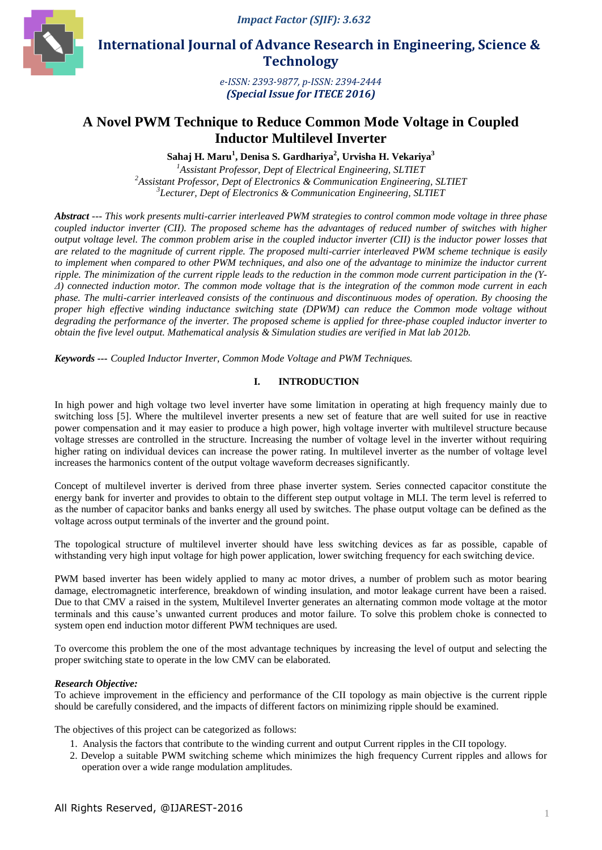*Impact Factor (SJIF): 3.632*



 **International Journal of Advance Research in Engineering, Science & Technology** 

> *e-ISSN: 2393-9877, p-ISSN: 2394-2444 (Special Issue for ITECE 2016)*

# **A Novel PWM Technique to Reduce Common Mode Voltage in Coupled Inductor Multilevel Inverter**

**Sahaj H. Maru<sup>1</sup> , Denisa S. Gardhariya<sup>2</sup> , Urvisha H. Vekariya<sup>3</sup>**

*1 Assistant Professor, Dept of Electrical Engineering, SLTIET 2 Assistant Professor, Dept of Electronics & Communication Engineering, SLTIET 3 Lecturer, Dept of Electronics & Communication Engineering, SLTIET*

*Abstract --- This work presents multi-carrier interleaved PWM strategies to control common mode voltage in three phase coupled inductor inverter (CII). The proposed scheme has the advantages of reduced number of switches with higher output voltage level. The common problem arise in the coupled inductor inverter (CII) is the inductor power losses that are related to the magnitude of current ripple. The proposed multi-carrier interleaved PWM scheme technique is easily to implement when compared to other PWM techniques, and also one of the advantage to minimize the inductor current ripple. The minimization of the current ripple leads to the reduction in the common mode current participation in the (Y-Δ) connected induction motor. The common mode voltage that is the integration of the common mode current in each phase. The multi-carrier interleaved consists of the continuous and discontinuous modes of operation. By choosing the proper high effective winding inductance switching state (DPWM) can reduce the Common mode voltage without degrading the performance of the inverter. The proposed scheme is applied for three-phase coupled inductor inverter to obtain the five level output. Mathematical analysis & Simulation studies are verified in Mat lab 2012b.*

*Keywords --- Coupled Inductor Inverter, Common Mode Voltage and PWM Techniques.*

## **I. INTRODUCTION**

In high power and high voltage two level inverter have some limitation in operating at high frequency mainly due to switching loss [5]. Where the multilevel inverter presents a new set of feature that are well suited for use in reactive power compensation and it may easier to produce a high power, high voltage inverter with multilevel structure because voltage stresses are controlled in the structure. Increasing the number of voltage level in the inverter without requiring higher rating on individual devices can increase the power rating. In multilevel inverter as the number of voltage level increases the harmonics content of the output voltage waveform decreases significantly.

Concept of multilevel inverter is derived from three phase inverter system. Series connected capacitor constitute the energy bank for inverter and provides to obtain to the different step output voltage in MLI. The term level is referred to as the number of capacitor banks and banks energy all used by switches. The phase output voltage can be defined as the voltage across output terminals of the inverter and the ground point.

The topological structure of multilevel inverter should have less switching devices as far as possible, capable of withstanding very high input voltage for high power application, lower switching frequency for each switching device.

PWM based inverter has been widely applied to many ac motor drives, a number of problem such as motor bearing damage, electromagnetic interference, breakdown of winding insulation, and motor leakage current have been a raised. Due to that CMV a raised in the system, Multilevel Inverter generates an alternating common mode voltage at the motor terminals and this cause's unwanted current produces and motor failure. To solve this problem choke is connected to system open end induction motor different PWM techniques are used.

To overcome this problem the one of the most advantage techniques by increasing the level of output and selecting the proper switching state to operate in the low CMV can be elaborated.

### *Research Objective:*

To achieve improvement in the efficiency and performance of the CII topology as main objective is the current ripple should be carefully considered, and the impacts of different factors on minimizing ripple should be examined.

The objectives of this project can be categorized as follows:

- 1. Analysis the factors that contribute to the winding current and output Current ripples in the CII topology.
- 2. Develop a suitable PWM switching scheme which minimizes the high frequency Current ripples and allows for operation over a wide range modulation amplitudes.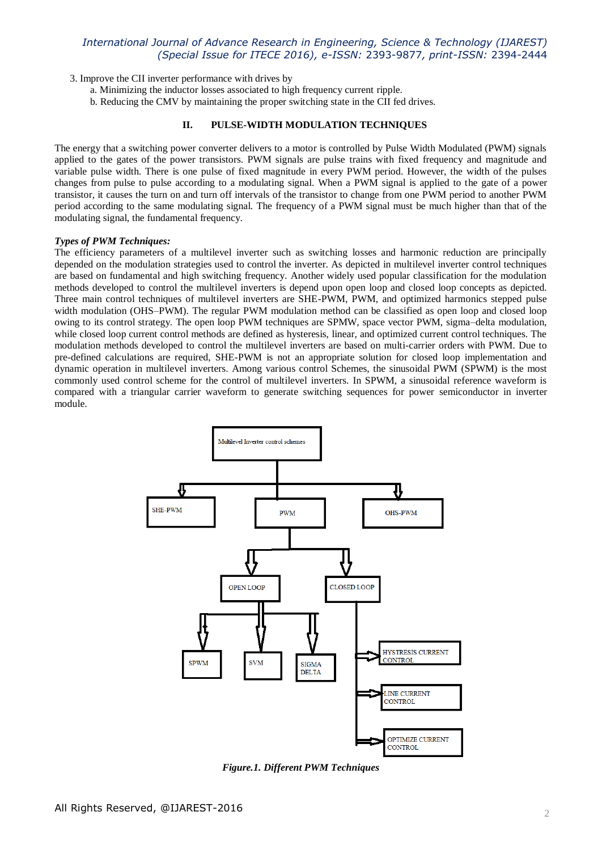3. Improve the CII inverter performance with drives by

a. Minimizing the inductor losses associated to high frequency current ripple.

b. Reducing the CMV by maintaining the proper switching state in the CII fed drives.

## **II. PULSE-WIDTH MODULATION TECHNIQUES**

The energy that a switching power converter delivers to a motor is controlled by Pulse Width Modulated (PWM) signals applied to the gates of the power transistors. PWM signals are pulse trains with fixed frequency and magnitude and variable pulse width. There is one pulse of fixed magnitude in every PWM period. However, the width of the pulses changes from pulse to pulse according to a modulating signal. When a PWM signal is applied to the gate of a power transistor, it causes the turn on and turn off intervals of the transistor to change from one PWM period to another PWM period according to the same modulating signal. The frequency of a PWM signal must be much higher than that of the modulating signal, the fundamental frequency.

#### *Types of PWM Techniques:*

The efficiency parameters of a multilevel inverter such as switching losses and harmonic reduction are principally depended on the modulation strategies used to control the inverter. As depicted in multilevel inverter control techniques are based on fundamental and high switching frequency. Another widely used popular classification for the modulation methods developed to control the multilevel inverters is depend upon open loop and closed loop concepts as depicted. Three main control techniques of multilevel inverters are SHE-PWM, PWM, and optimized harmonics stepped pulse width modulation (OHS–PWM). The regular PWM modulation method can be classified as open loop and closed loop owing to its control strategy. The open loop PWM techniques are SPMW, space vector PWM, sigma–delta modulation, while closed loop current control methods are defined as hysteresis, linear, and optimized current control techniques. The modulation methods developed to control the multilevel inverters are based on multi-carrier orders with PWM. Due to pre-defined calculations are required, SHE-PWM is not an appropriate solution for closed loop implementation and dynamic operation in multilevel inverters. Among various control Schemes, the sinusoidal PWM (SPWM) is the most commonly used control scheme for the control of multilevel inverters. In SPWM, a sinusoidal reference waveform is compared with a triangular carrier waveform to generate switching sequences for power semiconductor in inverter module.



*Figure.1. Different PWM Techniques*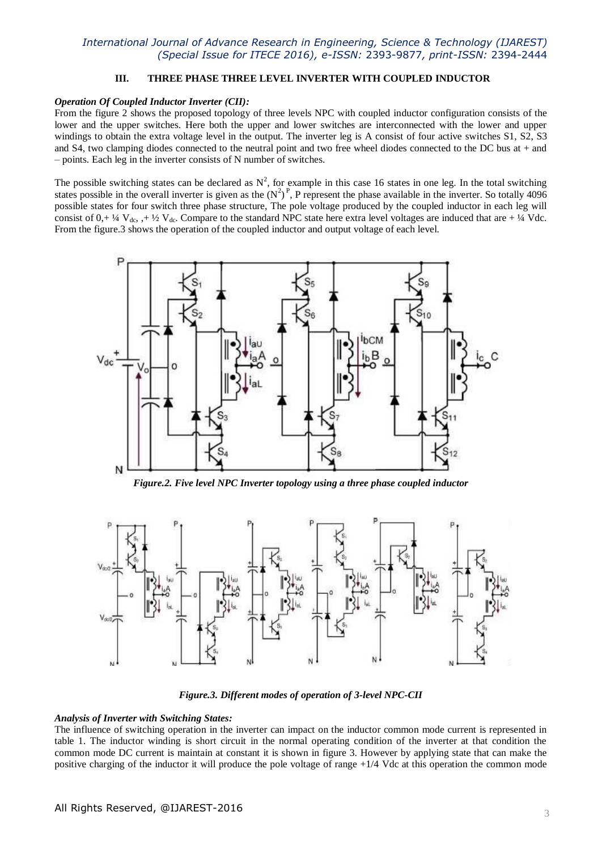#### **III. THREE PHASE THREE LEVEL INVERTER WITH COUPLED INDUCTOR**

#### *Operation Of Coupled Inductor Inverter (CII):*

From the figure 2 shows the proposed topology of three levels NPC with coupled inductor configuration consists of the lower and the upper switches. Here both the upper and lower switches are interconnected with the lower and upper windings to obtain the extra voltage level in the output. The inverter leg is A consist of four active switches S1, S2, S3 and S4, two clamping diodes connected to the neutral point and two free wheel diodes connected to the DC bus at  $+$  and – points. Each leg in the inverter consists of N number of switches.

The possible switching states can be declared as  $N^2$ , for example in this case 16 states in one leg. In the total switching states possible in the overall inverter is given as the  $(N^2)^P$ , P represent the phase available in the inverter. So totally 4096 possible states for four switch three phase structure, The pole voltage produced by the coupled inductor in each leg will consist of  $0, +\frac{1}{4}$  V<sub>dc</sub>,  $+\frac{1}{2}$  V<sub>dc</sub>. Compare to the standard NPC state here extra level voltages are induced that are  $+\frac{1}{4}$  Vdc. From the figure.3 shows the operation of the coupled inductor and output voltage of each level.



*Figure.2. Five level NPC Inverter topology using a three phase coupled inductor*



*Figure.3. Different modes of operation of 3-level NPC-CII*

#### *Analysis of Inverter with Switching States:*

The influence of switching operation in the inverter can impact on the inductor common mode current is represented in table 1. The inductor winding is short circuit in the normal operating condition of the inverter at that condition the common mode DC current is maintain at constant it is shown in figure 3. However by applying state that can make the positive charging of the inductor it will produce the pole voltage of range +1/4 Vdc at this operation the common mode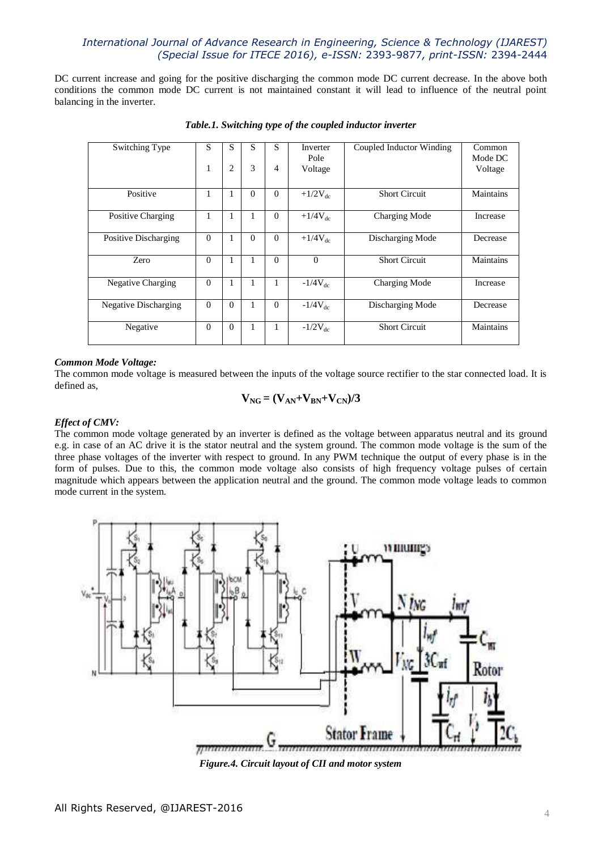DC current increase and going for the positive discharging the common mode DC current decrease. In the above both conditions the common mode DC current is not maintained constant it will lead to influence of the neutral point balancing in the inverter.

| Switching Type              | S            | S        | S        | S        | Inverter     | Coupled Inductor Winding | Common    |
|-----------------------------|--------------|----------|----------|----------|--------------|--------------------------|-----------|
|                             |              |          |          |          | Pole         |                          | Mode DC   |
|                             |              |          | 3        | 4        |              |                          |           |
|                             | 1            | 2        |          |          | Voltage      |                          | Voltage   |
|                             |              |          |          |          |              |                          |           |
| Positive                    | 1            | 1        | $\Omega$ | $\Omega$ | $+1/2V_{dc}$ | <b>Short Circuit</b>     | Maintains |
|                             |              |          |          |          |              |                          |           |
| Positive Charging           | 1            | 1        | 1        | $\Omega$ | $+1/4V_{dc}$ | Charging Mode            | Increase  |
|                             |              |          |          |          |              |                          |           |
| Positive Discharging        | $\theta$     | 1        | $\Omega$ | $\Omega$ | $+1/4V_{dc}$ | Discharging Mode         | Decrease  |
|                             |              |          |          |          |              |                          |           |
| Zero                        | $\theta$     | 1        | 1        | $\Omega$ | $\theta$     | <b>Short Circuit</b>     | Maintains |
|                             |              |          |          |          |              |                          |           |
| <b>Negative Charging</b>    | $\Omega$     | 1        | 1        | 1        | $-1/4V_{dc}$ | Charging Mode            | Increase  |
|                             |              |          |          |          |              |                          |           |
| <b>Negative Discharging</b> | $\theta$     | $\Omega$ | 1        | $\Omega$ | $-1/4V_{dc}$ | Discharging Mode         | Decrease  |
|                             |              |          |          |          |              |                          |           |
| Negative                    | $\mathbf{0}$ | $\Omega$ | 1        | 1        | $-1/2V_{dc}$ | <b>Short Circuit</b>     | Maintains |
|                             |              |          |          |          |              |                          |           |
|                             |              |          |          |          |              |                          |           |

*Table.1. Switching type of the coupled inductor inverter*

### *Common Mode Voltage:*

The common mode voltage is measured between the inputs of the voltage source rectifier to the star connected load. It is defined as,

$$
V_{NG} = (V_{AN} + V_{BN} + V_{CN})/3
$$

#### *Effect of CMV:*

The common mode voltage generated by an inverter is defined as the voltage between apparatus neutral and its ground e.g. in case of an AC drive it is the stator neutral and the system ground. The common mode voltage is the sum of the three phase voltages of the inverter with respect to ground. In any PWM technique the output of every phase is in the form of pulses. Due to this, the common mode voltage also consists of high frequency voltage pulses of certain magnitude which appears between the application neutral and the ground. The common mode voltage leads to common mode current in the system.



*Figure.4. Circuit layout of CII and motor system*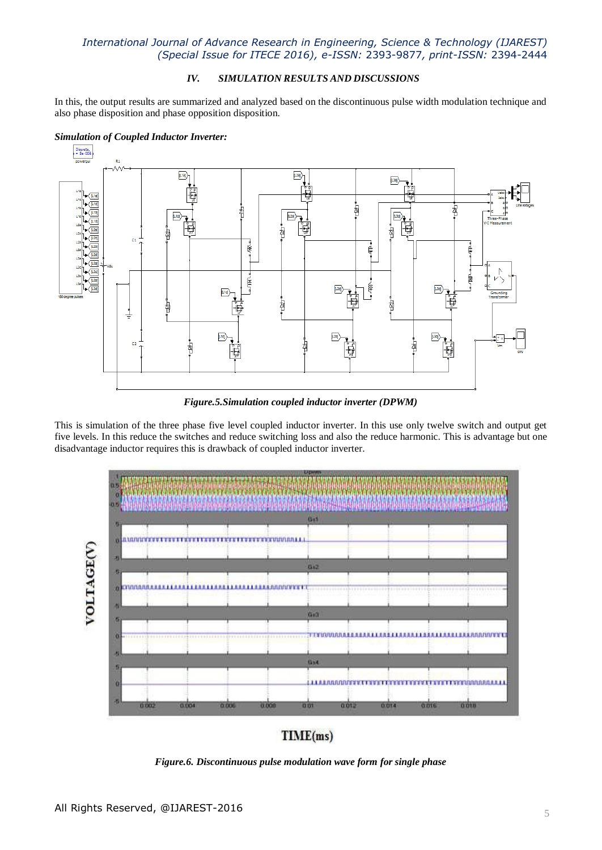## *IV. SIMULATION RESULTS AND DISCUSSIONS*

In this, the output results are summarized and analyzed based on the discontinuous pulse width modulation technique and also phase disposition and phase opposition disposition.

## *Simulation of Coupled Inductor Inverter:*



*Figure.5.Simulation coupled inductor inverter (DPWM)*

This is simulation of the three phase five level coupled inductor inverter. In this use only twelve switch and output get five levels. In this reduce the switches and reduce switching loss and also the reduce harmonic. This is advantage but one disadvantage inductor requires this is drawback of coupled inductor inverter.



 $TIME(ms)$ 

*Figure.6. Discontinuous pulse modulation wave form for single phase*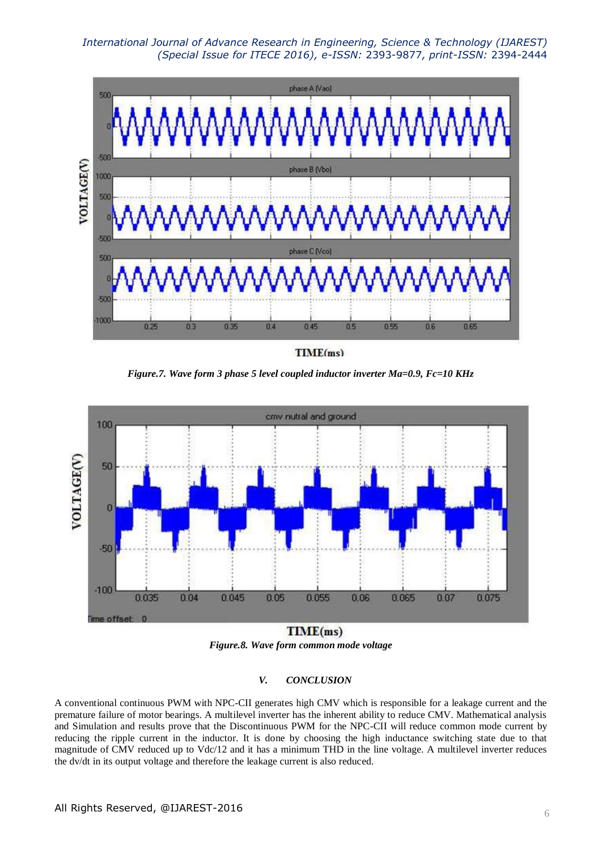

TIME(ms)

*Figure.7. Wave form 3 phase 5 level coupled inductor inverter Ma=0.9, Fc=10 KHz*



*Figure.8. Wave form common mode voltage*

### *V. CONCLUSION*

A conventional continuous PWM with NPC-CII generates high CMV which is responsible for a leakage current and the premature failure of motor bearings. A multilevel inverter has the inherent ability to reduce CMV. Mathematical analysis and Simulation and results prove that the Discontinuous PWM for the NPC-CII will reduce common mode current by reducing the ripple current in the inductor. It is done by choosing the high inductance switching state due to that magnitude of CMV reduced up to Vdc/12 and it has a minimum THD in the line voltage. A multilevel inverter reduces the dv/dt in its output voltage and therefore the leakage current is also reduced.